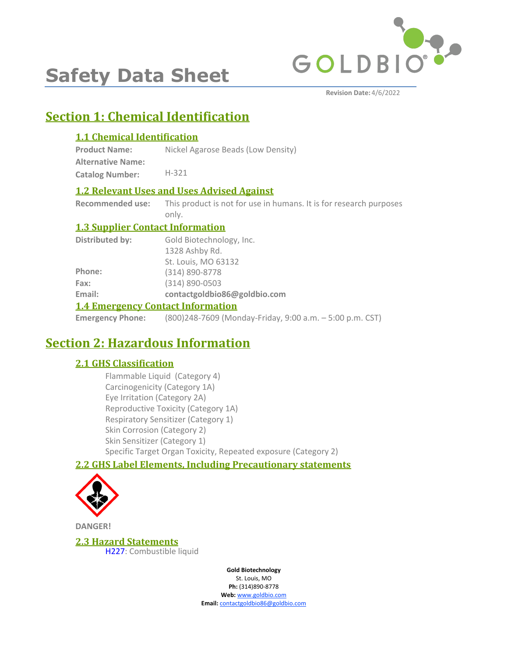

# **Safety Data Sheet**

# **Section 1: Chemical Identification**

# **1.1 Chemical Identification**

**Product Name:** Nickel Agarose Beads (Low Density)

**Alternative Name: Catalog Number:** H-321

# **1.2 Relevant Uses and Uses Advised Against**

**Recommended use:** This product is not for use in humans. It is for research purposes only.

# **1.3 Supplier Contact Information**

| 1.4 Emangement Contact Information |                              |  |
|------------------------------------|------------------------------|--|
| Email:                             | contactgoldbio86@goldbio.com |  |
| Fax:                               | $(314) 890 - 0503$           |  |
| Phone:                             | (314) 890-8778               |  |
|                                    | St. Louis, MO 63132          |  |
|                                    | 1328 Ashby Rd.               |  |
| Distributed by:                    | Gold Biotechnology, Inc.     |  |

### **1.4 Emergency Contact Information**

**Emergency Phone:** (800)248-7609 (Monday-Friday, 9:00 a.m. – 5:00 p.m. CST)

# **Section 2: Hazardous Information**

# **2.1 GHS Classification**

Flammable Liquid (Category 4) Carcinogenicity (Category 1A) Eye Irritation (Category 2A) Reproductive Toxicity (Category 1A) Respiratory Sensitizer (Category 1) Skin Corrosion (Category 2) Skin Sensitizer (Category 1) Specific Target Organ Toxicity, Repeated exposure (Category 2)

# **2.2 GHS Label Elements, Including Precautionary statements**



**DANGER!**

**2.3 Hazard Statements** H227: Combustible liquid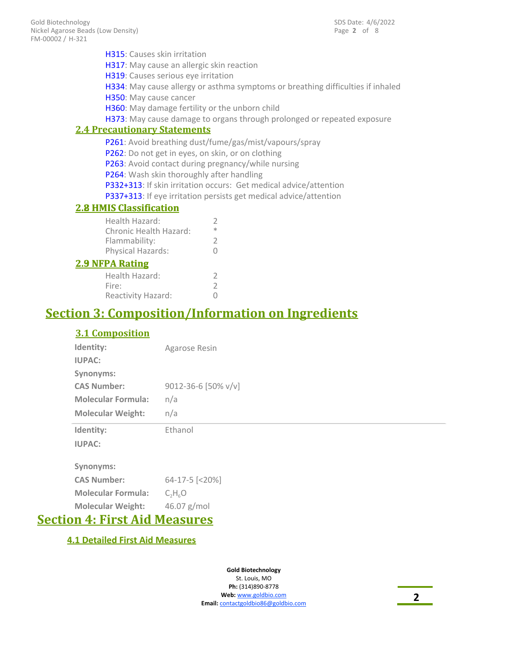| <b>H315</b> : Causes skin irritation                                            |                                                                         |  |
|---------------------------------------------------------------------------------|-------------------------------------------------------------------------|--|
| H317: May cause an allergic skin reaction                                       |                                                                         |  |
| H319: Causes serious eye irritation                                             |                                                                         |  |
| H334: May cause allergy or asthma symptoms or breathing difficulties if inhaled |                                                                         |  |
| H350: May cause cancer                                                          |                                                                         |  |
| H360: May damage fertility or the unborn child                                  |                                                                         |  |
|                                                                                 | H373: May cause damage to organs through prolonged or repeated exposure |  |
| <b>2.4 Precautionary Statements</b>                                             |                                                                         |  |
|                                                                                 | P261: Avoid breathing dust/fume/gas/mist/vapours/spray                  |  |
| P262: Do not get in eyes, on skin, or on clothing                               |                                                                         |  |
| P263: Avoid contact during pregnancy/while nursing                              |                                                                         |  |
| P264: Wash skin thoroughly after handling                                       |                                                                         |  |
| P332+313: If skin irritation occurs: Get medical advice/attention               |                                                                         |  |
|                                                                                 | P337+313: If eye irritation persists get medical advice/attention       |  |
| <b>2.8 HMIS Classification</b>                                                  |                                                                         |  |
| Health Hazard:                                                                  | $\mathcal{L}$                                                           |  |
| Chronic Health Hazard:                                                          | $\frac{1}{2}$                                                           |  |
| Flammability:                                                                   | 2                                                                       |  |
| Physical Hazards:                                                               | O                                                                       |  |
| <b>2.9 NFPA Rating</b>                                                          |                                                                         |  |
|                                                                                 |                                                                         |  |

| 2 |
|---|
| Ω |
|   |

# **Section 3: Composition/Information on Ingredients**

# **3.1 Composition**

| Identity:                 | Agarose Resin       |
|---------------------------|---------------------|
| <b>IUPAC:</b>             |                     |
| <b>Synonyms:</b>          |                     |
| <b>CAS Number:</b>        | 9012-36-6 [50% v/v] |
| <b>Molecular Formula:</b> | n/a                 |
| <b>Molecular Weight:</b>  | n/a                 |
| Identity:                 | Ethanol             |
| <b>IUPAC:</b>             |                     |
| Synonyms:                 |                     |
| <b>CAS Number:</b>        | 64-17-5 [<20%]      |
| <b>Molecular Formula:</b> | $C_2H_6O$           |
| <b>Molecular Weight:</b>  | 46.07 g/mol         |

# **Section 4: First Aid Measures**

# **4.1 Detailed First Aid Measures**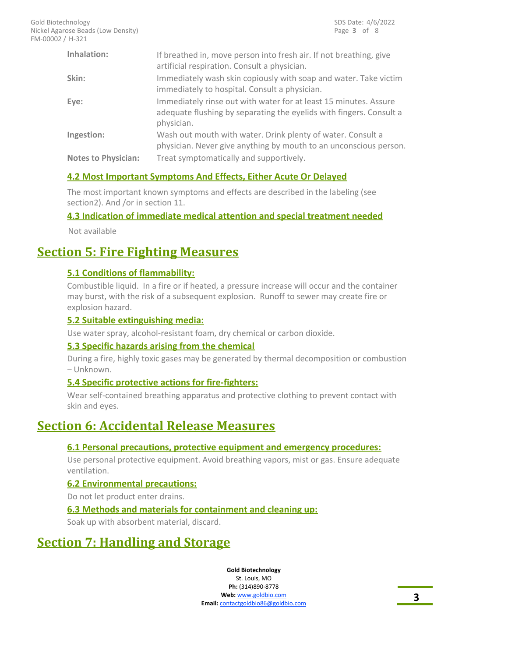| Inhalation:                | If breathed in, move person into fresh air. If not breathing, give<br>artificial respiration. Consult a physician.                                    |
|----------------------------|-------------------------------------------------------------------------------------------------------------------------------------------------------|
| Skin:                      | Immediately wash skin copiously with soap and water. Take victim<br>immediately to hospital. Consult a physician.                                     |
| Eye:                       | Immediately rinse out with water for at least 15 minutes. Assure<br>adequate flushing by separating the eyelids with fingers. Consult a<br>physician. |
| Ingestion:                 | Wash out mouth with water. Drink plenty of water. Consult a<br>physician. Never give anything by mouth to an unconscious person.                      |
| <b>Notes to Physician:</b> | Treat symptomatically and supportively.                                                                                                               |

### **4.2 Most Important Symptoms And Effects, Either Acute Or Delayed**

The most important known symptoms and effects are described in the labeling (see section2). And /or in section 11.

### **4.3 Indication of immediate medical attention and special treatment needed**

Not available

# **Section 5: Fire Fighting Measures**

### **5.1 Conditions of flammability:**

Combustible liquid. In a fire or if heated, a pressure increase will occur and the container may burst, with the risk of a subsequent explosion. Runoff to sewer may create fire or explosion hazard.

### **5.2 Suitable extinguishing media:**

Use water spray, alcohol-resistant foam, dry chemical or carbon dioxide.

### **5.3 Specific hazards arising from the chemical**

During a fire, highly toxic gases may be generated by thermal decomposition or combustion – Unknown.

### **5.4 Specific protective actions for fire-fighters:**

Wear self-contained breathing apparatus and protective clothing to prevent contact with skin and eyes.

# **Section 6: Accidental Release Measures**

### **6.1 Personal precautions, protective equipment and emergency procedures:**

Use personal protective equipment. Avoid breathing vapors, mist or gas. Ensure adequate ventilation.

#### **6.2 Environmental precautions:**

Do not let product enter drains.

### **6.3 Methods and materials for containment and cleaning up:**

Soak up with absorbent material, discard.

# **Section 7: Handling and Storage**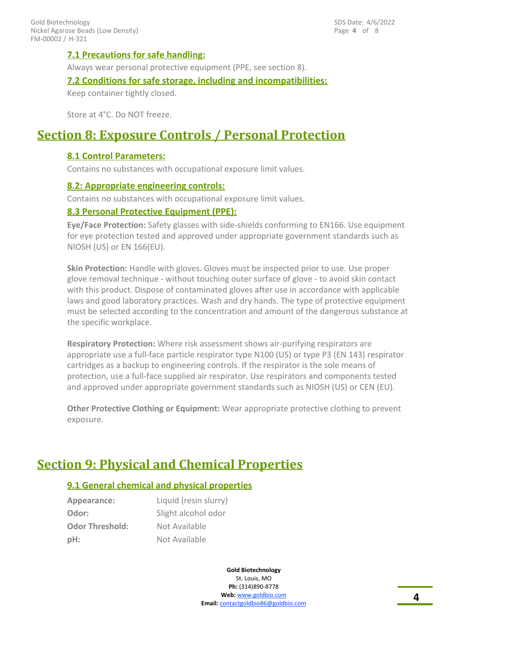### **7.1 Precautions for safe handling:**

Always wear personal protective equipment (PPE, see section 8).

#### **7.2 Conditions for safe storage, including and incompatibilities:**

Keep container tightly closed.

Store at 4°C. Do NOT freeze.

# **Section 8: Exposure Controls / Personal Protection**

#### **8.1 Control Parameters:**

Contains no substances with occupational exposure limit values.

#### **8.2: Appropriate engineering controls:**

Contains no substances with occupational exposure limit values.

#### **8.3 Personal Protective Equipment (PPE):**

**Eye/Face Protection:** Safety glasses with side-shields conforming to EN166. Use equipment for eye protection tested and approved under appropriate government standards such as NIOSH (US) or EN 166(EU).

**Skin Protection:** Handle with gloves. Gloves must be inspected prior to use. Use proper glove removal technique - without touching outer surface of glove - to avoid skin contact with this product. Dispose of contaminated gloves after use in accordance with applicable laws and good laboratory practices. Wash and dry hands. The type of protective equipment must be selected according to the concentration and amount of the dangerous substance at the specific workplace.

**Respiratory Protection:** Where risk assessment shows air-purifying respirators are appropriate use a full-face particle respirator type N100 (US) or type P3 (EN 143) respirator cartridges as a backup to engineering controls. If the respirator is the sole means of protection, use a full-face supplied air respirator. Use respirators and components tested and approved under appropriate government standards such as NIOSH (US) or CEN (EU).

**Other Protective Clothing or Equipment:** Wear appropriate protective clothing to prevent exposure.

# **Section 9: Physical and Chemical Properties**

### **9.1 General chemical and physical properties**

| Appearance:            | Liquid (resin slurry) |
|------------------------|-----------------------|
| Odor:                  | Slight alcohol odor   |
| <b>Odor Threshold:</b> | Not Available         |
| pH:                    | Not Available         |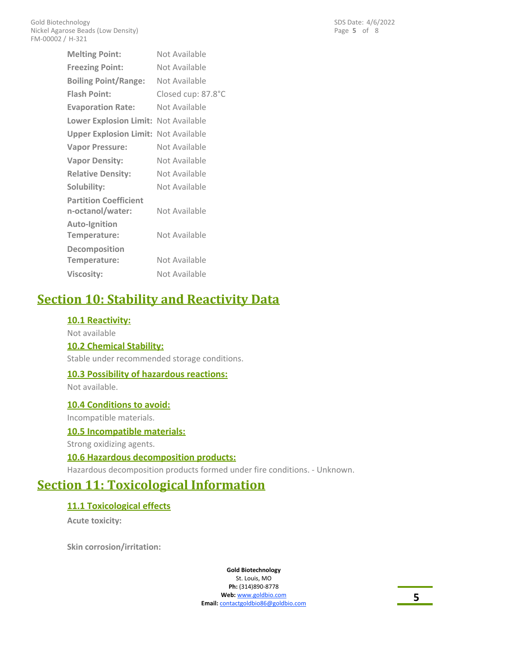**Melting Point:** Not Available **Freezing Point:** Not Available **Flash Point:** Closed cup: 87.8°C **Evaporation Rate:** Not Available **Lower Explosion Limit:** Not Available **Upper Explosion Limit:** Not Available **Vapor Pressure:** Not Available **Vapor Density:** Not Available **Relative Density:** Not Available **Solubility:** Not Available **Partition Coefficient n-octanol/water:** Not Available **Auto-Ignition Temperature:** Not Available **Decomposition** Temperature: Not Available **Viscosity:** Not Available **Boiling Point/Range:** Not Available

# **Section 10: Stability and Reactivity Data**

### **10.1 Reactivity:**

Not available **10.2 Chemical Stability:**

Stable under recommended storage conditions.

### **10.3 Possibility of hazardous reactions:**

Not available.

**10.4 Conditions to avoid:**

Incompatible materials.

#### **10.5 Incompatible materials:**

Strong oxidizing agents.

#### **10.6 Hazardous decomposition products:**

Hazardous decomposition products formed under fire conditions. - Unknown.

# **Section 11: Toxicological Information**

### **11.1 Toxicological effects**

**Acute toxicity:**

**Skin corrosion/irritation:**

**Gold Biotechnology** St. Louis, MO **Ph:** (314)890-8778 **Web:** www.goldbio.com **Email:** contactgoldbio86@goldbio.com Page **5** of 8 SDS Date: 4/6/2022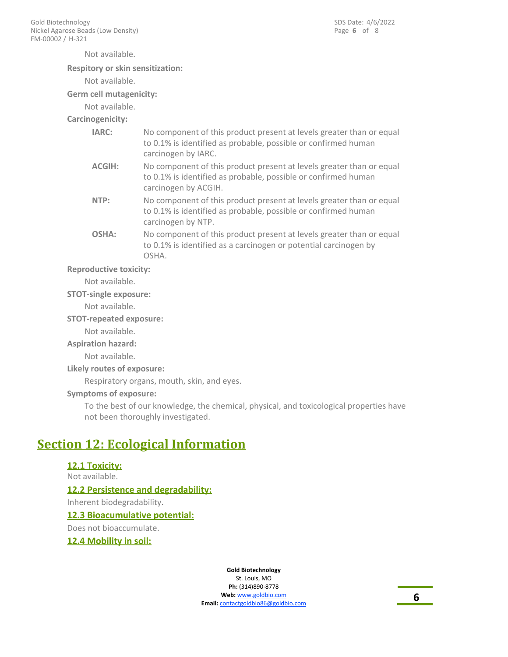Not available.

#### **Respitory or skin sensitization:**

Not available.

**Germ cell mutagenicity:**

Not available.

**Carcinogenicity:**

| IARC:         | No component of this product present at levels greater than or equal<br>to 0.1% is identified as probable, possible or confirmed human<br>carcinogen by IARC.  |
|---------------|----------------------------------------------------------------------------------------------------------------------------------------------------------------|
| <b>ACGIH:</b> | No component of this product present at levels greater than or equal<br>to 0.1% is identified as probable, possible or confirmed human<br>carcinogen by ACGIH. |
| NTP:          | No component of this product present at levels greater than or equal<br>to 0.1% is identified as probable, possible or confirmed human<br>carcinogen by NTP.   |
| OSHA:         | No component of this product present at levels greater than or equal<br>to 0.1% is identified as a carcinogen or potential carcinogen by                       |

OSHA.

#### **Reproductive toxicity:**

Not available.

#### **STOT-single exposure:**

Not available.

#### **STOT-repeated exposure:**

Not available.

#### **Aspiration hazard:**

Not available.

#### **Likely routes of exposure:**

Respiratory organs, mouth, skin, and eyes.

#### **Symptoms of exposure:**

To the best of our knowledge, the chemical, physical, and toxicological properties have not been thoroughly investigated.

# **Section 12: Ecological Information**

### **12.1 Toxicity:** Not available. **12.2 Persistence and degradability:**

Inherent biodegradability.

#### **12.3 Bioacumulative potential:**

Does not bioaccumulate.

#### **12.4 Mobility in soil:**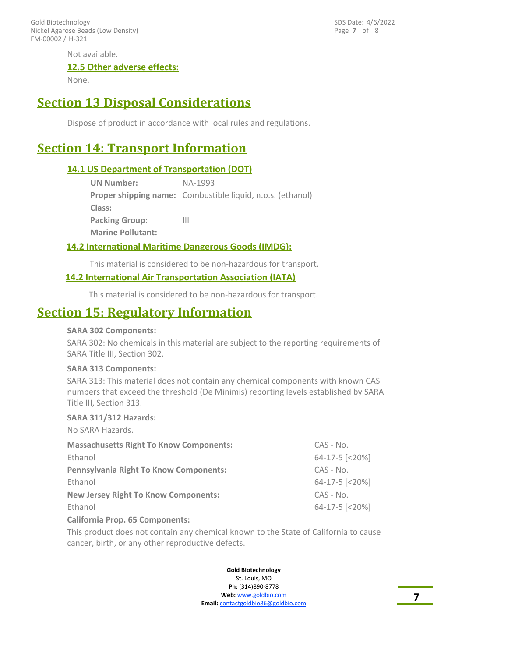FM-00002 / H-321 Gold Biotechnology Nickel Agarose Beads (Low Density) Page **7** of 8 SDS Date: 4/6/2022

Not available.

#### **12.5 Other adverse effects:**

None.

# **Section 13 Disposal Considerations**

Dispose of product in accordance with local rules and regulations.

# **Section 14: Transport Information**

#### **14.1 US Department of Transportation (DOT)**

| <b>UN Number:</b>        | NA-1993                                                           |
|--------------------------|-------------------------------------------------------------------|
|                          | <b>Proper shipping name:</b> Combustible liquid, n.o.s. (ethanol) |
| Class:                   |                                                                   |
| <b>Packing Group:</b>    | Ш                                                                 |
| <b>Marine Pollutant:</b> |                                                                   |
|                          |                                                                   |

#### **14.2 International Maritime Dangerous Goods (IMDG):**

This material is considered to be non-hazardous for transport.

### **14.2 International Air Transportation Association (IATA)**

This material is considered to be non-hazardous for transport.

# **Section 15: Regulatory Information**

#### **SARA 302 Components:**

SARA 302: No chemicals in this material are subject to the reporting requirements of SARA Title III, Section 302.

#### **SARA 313 Components:**

SARA 313: This material does not contain any chemical components with known CAS numbers that exceed the threshold (De Minimis) reporting levels established by SARA Title III, Section 313.

#### **SARA 311/312 Hazards:**

| No SARA Hazards.                               |                |
|------------------------------------------------|----------------|
| <b>Massachusetts Right To Know Components:</b> | $CAS - No.$    |
| Ethanol                                        | 64-17-5 [<20%] |
| <b>Pennsylvania Right To Know Components:</b>  | $CAS - No.$    |
| Ethanol                                        | 64-17-5 [<20%] |
| <b>New Jersey Right To Know Components:</b>    | $CAS - No.$    |
| Ethanol                                        | 64-17-5 [<20%] |
| Callfornia Brent CE Canceron and La            |                |

#### **California Prop. 65 Components:**

This product does not contain any chemical known to the State of California to cause cancer, birth, or any other reproductive defects.